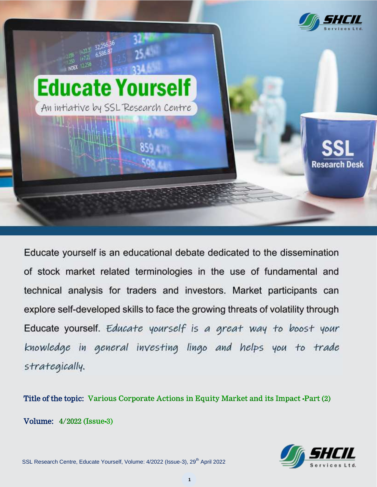

Educate yourself is an educational debate dedicated to the dissemination of stock market related terminologies in the use of fundamental and technical analysis for traders and investors. Market participants can explore self-developed skills to face the growing threats of volatility through Educate yourself. Educate yourself is a great way to boost your knowledge in general investing lingo and helps you to trade strategically.

Title of the topic: Various Corporate Actions in Volume: 4/2022 (Issue-3)

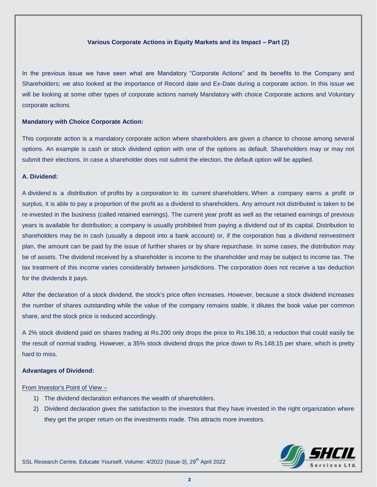#### **Various Corporate Actions in Equity Markets and its Impact – Part (2)**

In the previous issue we have seen what are Mandatory "Corporate Actions" and its benefits to the Company and Shareholders; we also looked at the importance of Record date and Ex-Date during a corporate action. In this issue we will be looking at some other types of corporate actions namely Mandatory with choice Corporate actions and Voluntary corporate actions.

### **Mandatory with Choice Corporate Action:**

This corporate action is a mandatory corporate action where shareholders are given a chance to choose among several options. An example is cash or stock dividend option with one of the options as default. Shareholders may or may not submit their elections. In case a shareholder does not submit the election, the default option will be applied.

### **A. Dividend:**

A dividend is a distribution of profits by a corporation to its current shareholders. When a company earns a profit or surplus, it is able to pay a proportion of the profit as a dividend to shareholders. Any amount not distributed is taken to be re-invested in the business (called retained earnings). The current year profit as well as the retained earnings of previous years is available for distribution; a company is usually prohibited from paying a dividend out of its capital. Distribution to shareholders may be in cash (usually a deposit into a bank account) or, if the corporation has a dividend reinvestment plan, the amount can be paid by the issue of further shares or by share repurchase. In some cases, the distribution may be of assets. The dividend received by a shareholder is income to the shareholder and may be subject to income tax. The tax treatment of this income varies considerably between jurisdictions. The corporation does not receive a tax deduction for the dividends it pays.

After the declaration of a stock dividend, the stock's price often increases. However, because a stock dividend increases the number of [shares outstanding](https://www.investopedia.com/terms/o/outstandingshares.asp) while the value of the company remains stable, it dilutes the [book value per common](https://www.investopedia.com/terms/b/bookvaluepercommon.asp)  [share,](https://www.investopedia.com/terms/b/bookvaluepercommon.asp) and the stock price is reduced accordingly.

A 2% stock dividend paid on shares trading at Rs.200 only drops the price to Rs.196.10, a reduction that could easily be the result of normal trading. However, a 35% stock dividend drops the price down to Rs.148.15 per share, which is pretty hard to miss.

#### **Advantages of Dividend:**

#### From Investor's Point of View –

- 1) The dividend declaration enhances the wealth of shareholders.
- 2) Dividend declaration gives the satisfaction to the investors that they have invested in the right organization where they get the proper return on the investments made. This attracts more investors.



SSL Research Centre, Educate Yourself, Volume: 4/2022 (Issue-3), 29<sup>th</sup> April 2022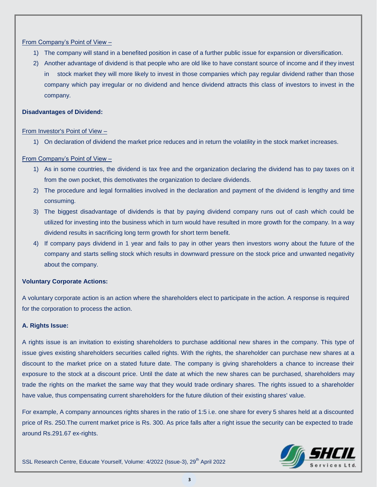### From Company"s Point of View –

- 1) The company will stand in a benefited position in case of a further public issue for expansion or diversification.
- 2) Another advantage of dividend is that people who are old like to have constant source of income and if they invest in stock market they will more likely to invest in those companies which pay regular dividend rather than those company which pay irregular or no dividend and hence dividend attracts this class of investors to invest in the company.

### **Disadvantages of Dividend:**

### From Investor's Point of View –

1) On declaration of dividend the market price reduces and in return the volatility in the stock market increases.

# From Company"s Point of View –

- 1) As in some countries, the dividend is tax free and the organization declaring the dividend has to pay taxes on it from the own pocket, this demotivates the organization to declare dividends.
- 2) The procedure and legal formalities involved in the declaration and payment of the dividend is lengthy and time consuming.
- 3) The biggest disadvantage of dividends is that by paying dividend company runs out of cash which could be utilized for investing into the business which in turn would have resulted in more growth for the company. In a way dividend results in sacrificing long term growth for short term benefit.
- 4) If company pays dividend in 1 year and fails to pay in other years then investors worry about the future of the company and starts selling stock which results in downward pressure on the stock price and unwanted negativity about the company.

# **Voluntary Corporate Actions:**

A voluntary corporate action is an action where the shareholders elect to participate in the action. A response is required for the corporation to process the action.

# **A. Rights Issue:**

A rights issue is an invitation to existing shareholders to purchase additional new shares in the company. This type of issue gives existing shareholders securities called rights. With the rights, the shareholder can purchase new shares at a discount to the market price on a stated future date. The company is giving shareholders a chance to increase their exposure to the stock at a discount price. Until the date at which the new shares can be purchased, shareholders may trade the rights on the market the same way that they would trade ordinary shares. The rights issued to a shareholder have value, thus compensating current shareholders for the future dilution of their existing shares' value.

For example, A company announces rights shares in the ratio of 1:5 i.e. one share for every 5 shares held at a discounted price of Rs. 250.The current market price is Rs. 300. As price falls after a right issue the security can be expected to trade around Rs.291.67 ex-rights.



SSL Research Centre, Educate Yourself, Volume: 4/2022 (Issue-3), 29<sup>th</sup> April 2022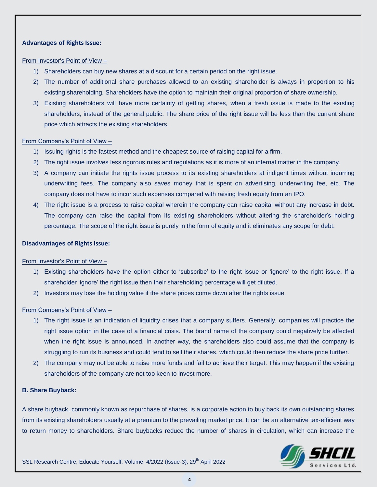### **Advantages of Rights Issue:**

#### From Investor's Point of View –

- 1) Shareholders can buy new shares at a discount for a certain period on the right issue.
- 2) The number of additional share purchases allowed to an existing shareholder is always in proportion to his existing shareholding. Shareholders have the option to maintain their original proportion of share ownership.
- 3) Existing shareholders will have more certainty of getting shares, when a fresh issue is made to the existing shareholders, instead of the general public. The share price of the right issue will be less than the current share price which attracts the existing shareholders.

#### From Company"s Point of View –

- 1) Issuing rights is the fastest method and the cheapest source of raising capital for a firm.
- 2) The right issue involves less rigorous rules and regulations as it is more of an internal matter in the company.
- 3) A company can initiate the rights issue process to its existing shareholders at indigent times without incurring underwriting fees. The company also saves money that is spent on advertising, underwriting fee, etc. The company does not have to incur such expenses compared with raising fresh equity from an IPO.
- 4) The right issue is a process to raise capital wherein the company can raise capital without any increase in debt. The company can raise the capital from its existing shareholders without altering the shareholder"s holding percentage. The scope of the right issue is purely in the form of equity and it eliminates any scope for debt.

#### **Disadvantages of Rights Issue:**

#### From Investor's Point of View –

- 1) Existing shareholders have the option either to "subscribe" to the right issue or "ignore" to the right issue. If a shareholder "ignore" the right issue then their shareholding percentage will get diluted.
- 2) Investors may lose the holding value if the share prices come down after the rights issue.

#### From Company"s Point of View –

- 1) The right issue is an indication of liquidity crises that a company suffers. Generally, companies will practice the right issue option in the case of a financial crisis. The brand name of the company could negatively be affected when the right issue is announced. In another way, the shareholders also could assume that the company is struggling to run its business and could tend to sell their shares, which could then reduce the share price further.
- 2) The company may not be able to raise more funds and fail to achieve their target. This may happen if the existing shareholders of the company are not too keen to invest more.

### **B. Share Buyback:**

A share buyback, commonly known as repurchase of shares, is a corporate action to buy back its own outstanding shares from its existing shareholders usually at a premium to the prevailing market price. It can be an alternative tax-efficient way to return money to shareholders. Share buybacks reduce the number of shares in circulation, which can increase the

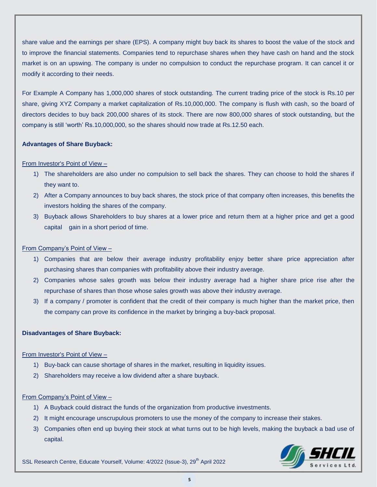share value and the earnings per share (EPS). A company might buy back its shares to boost the value of the stock and to improve the financial statements. Companies tend to repurchase shares when they have cash on hand and the stock market is on an upswing. The company is under no compulsion to conduct the repurchase program. It can cancel it or modify it according to their needs.

For Example A Company has 1,000,000 shares of stock outstanding. The current trading price of the stock is Rs.10 per share, giving XYZ Company a market capitalization of Rs.10,000,000. The company is flush with cash, so the board of directors decides to buy back 200,000 shares of its stock. There are now 800,000 shares of stock outstanding, but the company is still "worth" Rs.10,000,000, so the shares should now trade at Rs.12.50 each.

# **Advantages of Share Buyback:**

# From Investor's Point of View –

- 1) The shareholders are also under no compulsion to sell back the shares. They can choose to hold the shares if they want to.
- 2) After a Company announces to buy back shares, the stock price of that company often increases, this benefits the investors holding the shares of the company.
- 3) Buyback allows Shareholders to buy shares at a lower price and return them at a higher price and get a good capital gain in a short period of time.

# From Company"s Point of View –

- 1) Companies that are below their average industry profitability enjoy better share price appreciation after purchasing shares than companies with profitability above their industry average.
- 2) Companies whose sales growth was below their industry average had a higher share price rise after the repurchase of shares than those whose sales growth was above their industry average.
- 3) If a company / promoter is confident that the credit of their company is much higher than the market price, then the company can prove its confidence in the market by bringing a buy-back proposal.

# **Disadvantages of Share Buyback:**

# From Investor's Point of View –

- 1) Buy-back can cause shortage of shares in the market, resulting in liquidity issues.
- 2) Shareholders may receive a low dividend after a share buyback.

# From Company"s Point of View –

- 1) A Buyback could distract the funds of the organization from productive investments.
- 2) It might encourage unscrupulous promoters to use the money of the company to increase their stakes.
- 3) Companies often end up buying their stock at what turns out to be high levels, making the buyback a bad use of capital.



SSL Research Centre, Educate Yourself, Volume: 4/2022 (Issue-3), 29<sup>th</sup> April 2022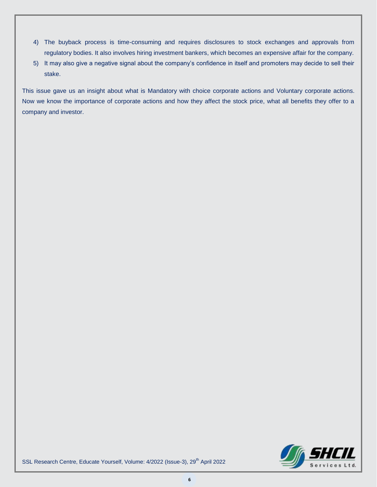- 4) The buyback process is time-consuming and requires disclosures to stock exchanges and approvals from regulatory bodies. It also involves hiring investment bankers, which becomes an expensive affair for the company.
- 5) It may also give a negative signal about the company"s confidence in itself and promoters may decide to sell their stake.

This issue gave us an insight about what is Mandatory with choice corporate actions and Voluntary corporate actions. Now we know the importance of corporate actions and how they affect the stock price, what all benefits they offer to a company and investor.